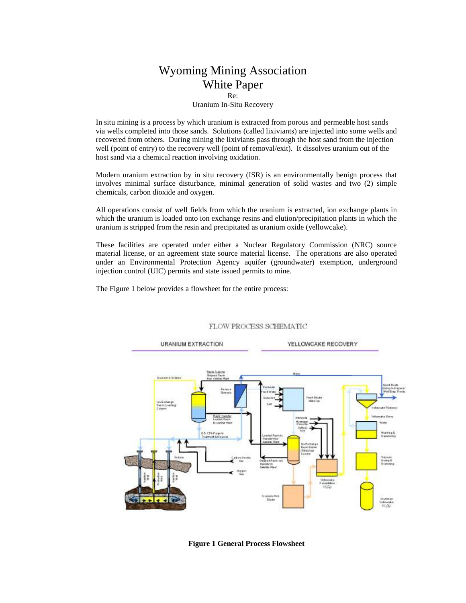## Wyoming Mining Association White Paper Re:

### Uranium In-Situ Recovery

In situ mining is a process by which uranium is extracted from porous and permeable host sands via wells completed into those sands. Solutions (called lixiviants) are injected into some wells and recovered from others. During mining the lixiviants pass through the host sand from the injection well (point of entry) to the recovery well (point of removal/exit). It dissolves uranium out of the host sand via a chemical reaction involving oxidation.

Modern uranium extraction by in situ recovery (ISR) is an environmentally benign process that involves minimal surface disturbance, minimal generation of solid wastes and two (2) simple chemicals, carbon dioxide and oxygen.

All operations consist of well fields from which the uranium is extracted, ion exchange plants in which the uranium is loaded onto ion exchange resins and elution/precipitation plants in which the uranium is stripped from the resin and precipitated as uranium oxide (yellowcake).

These facilities are operated under either a Nuclear Regulatory Commission (NRC) source material license, or an agreement state source material license. The operations are also operated under an Environmental Protection Agency aquifer (groundwater) exemption, underground injection control (UIC) permits and state issued permits to mine.

The Figure 1 below provides a flowsheet for the entire process:



### FLOW PROCESS SCHEMATIC

**Figure 1 General Process Flowsheet**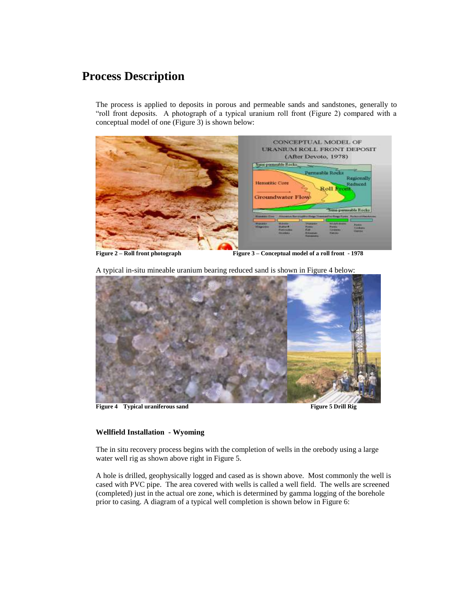# **Process Description**

The process is applied to deposits in porous and permeable sands and sandstones, generally to "roll front deposits. A photograph of a typical uranium roll front (Figure 2) compared with a conceptual model of one (Figure 3) is shown below:



**Figure 2 – Roll front photograph Figure 3 – Conceptual model of a roll front - 1978**

A typical in-situ mineable uranium bearing reduced sand is shown in Figure 4 below:



**Figure 4 Typical uraniferous sand Figure 5 Drill Rig Figure 5 Drill Rig** 

### **Wellfield Installation - Wyoming**

The in situ recovery process begins with the completion of wells in the orebody using a large water well rig as shown above right in Figure 5.

A hole is drilled, geophysically logged and cased as is shown above. Most commonly the well is cased with PVC pipe. The area covered with wells is called a well field. The wells are screened (completed) just in the actual ore zone, which is determined by gamma logging of the borehole prior to casing. A diagram of a typical well completion is shown below in Figure 6: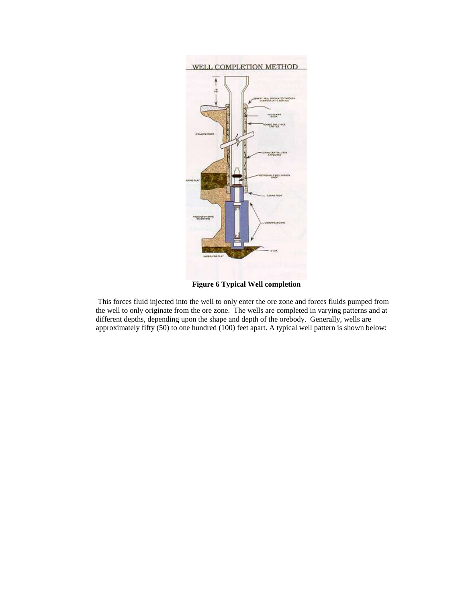

**Figure 6 Typical Well completion**

This forces fluid injected into the well to only enter the ore zone and forces fluids pumped from the well to only originate from the ore zone. The wells are completed in varying patterns and at different depths, depending upon the shape and depth of the orebody. Generally, wells are approximately fifty (50) to one hundred (100) feet apart. A typical well pattern is shown below: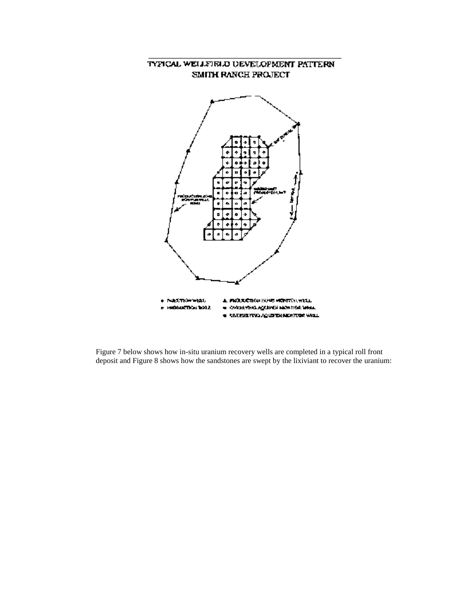### TYPICAL WELLFIRLD UEVELOPMENT PATTERN SMITH RANCH PROJECT



Figure 7 below shows how in-situ uranium recovery wells are completed in a typical roll front deposit and Figure 8 shows how the sandstones are swept by the lixiviant to recover the uranium: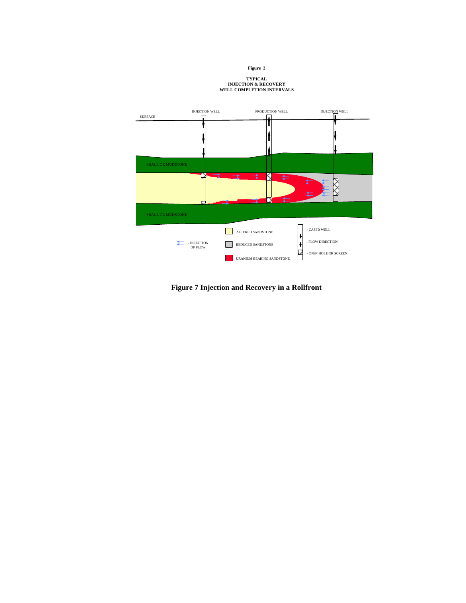**Figure 2**

# **TYPICAL INJECTION & RECOVERY WELL COMPLETION INTERVALS**



**Figure 7 Injection and Recovery in a Rollfront**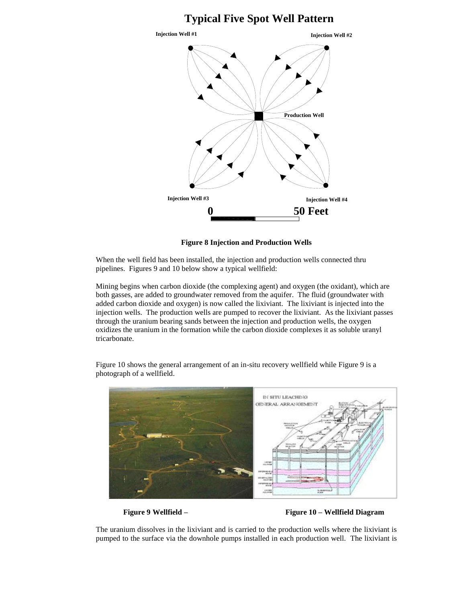# **0 50 Feet Injection Well #1 Injection Well #2 Injection Well #3 Injection Well #4 Production Well Typical Five Spot Well Pattern**

**Figure 8 Injection and Production Wells**

When the well field has been installed, the injection and production wells connected thru pipelines. Figures 9 and 10 below show a typical wellfield:

Mining begins when carbon dioxide (the complexing agent) and oxygen (the oxidant), which are both gasses, are added to groundwater removed from the aquifer. The fluid (groundwater with added carbon dioxide and oxygen) is now called the lixiviant. The lixiviant is injected into the injection wells. The production wells are pumped to recover the lixiviant. As the lixiviant passes through the uranium bearing sands between the injection and production wells, the oxygen oxidizes the uranium in the formation while the carbon dioxide complexes it as soluble uranyl tricarbonate.

Figure 10 shows the general arrangement of an in-situ recovery wellfield while Figure 9 is a photograph of a wellfield.



**Figure 9 Wellfield – Figure 10 – Wellfield Diagram**

The uranium dissolves in the lixiviant and is carried to the production wells where the lixiviant is pumped to the surface via the downhole pumps installed in each production well. The lixiviant is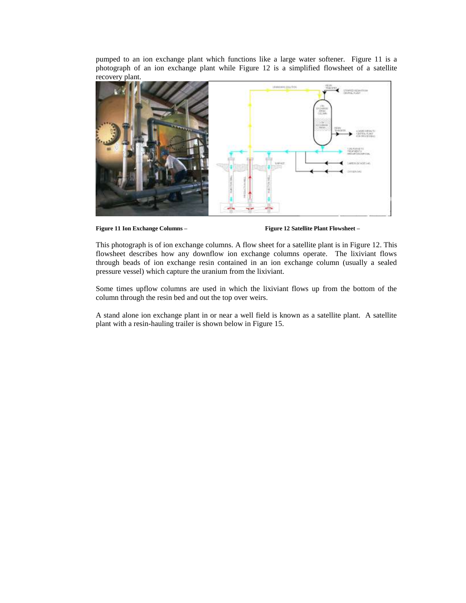pumped to an ion exchange plant which functions like a large water softener. Figure 11 is a photograph of an ion exchange plant while Figure 12 is a simplified flowsheet of a satellite recovery plant.



**Figure 11 Ion Exchange Columns – Figure 12 Satellite Plant Flowsheet –**

This photograph is of ion exchange columns. A flow sheet for a satellite plant is in Figure 12. This flowsheet describes how any downflow ion exchange columns operate. The lixiviant flows through beads of ion exchange resin contained in an ion exchange column (usually a sealed pressure vessel) which capture the uranium from the lixiviant.

Some times upflow columns are used in which the lixiviant flows up from the bottom of the column through the resin bed and out the top over weirs.

A stand alone ion exchange plant in or near a well field is known as a satellite plant. A satellite plant with a resin-hauling trailer is shown below in Figure 15.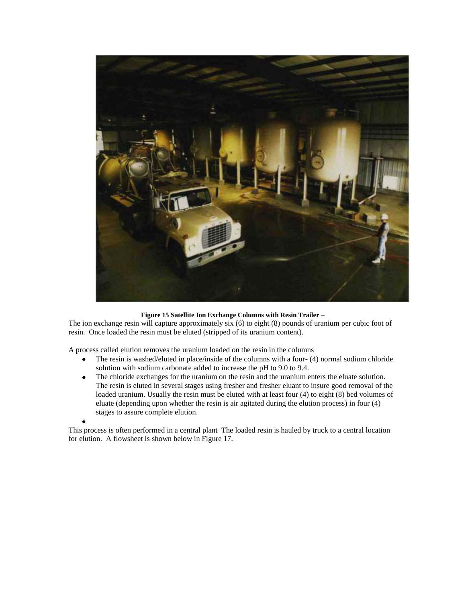

### **Figure 15 Satellite Ion Exchange Columns with Resin Trailer –**

The ion exchange resin will capture approximately six (6) to eight (8) pounds of uranium per cubic foot of resin. Once loaded the resin must be eluted (stripped of its uranium content).

A process called elution removes the uranium loaded on the resin in the columns

- $\bullet$ The resin is washed/eluted in place/inside of the columns with a four- (4) normal sodium chloride solution with sodium carbonate added to increase the pH to 9.0 to 9.4.
- The chloride exchanges for the uranium on the resin and the uranium enters the eluate solution.  $\bullet$ The resin is eluted in several stages using fresher and fresher eluant to insure good removal of the loaded uranium. Usually the resin must be eluted with at least four (4) to eight (8) bed volumes of eluate (depending upon whether the resin is air agitated during the elution process) in four (4) stages to assure complete elution.

This process is often performed in a central plant The loaded resin is hauled by truck to a central location for elution. A flowsheet is shown below in Figure 17.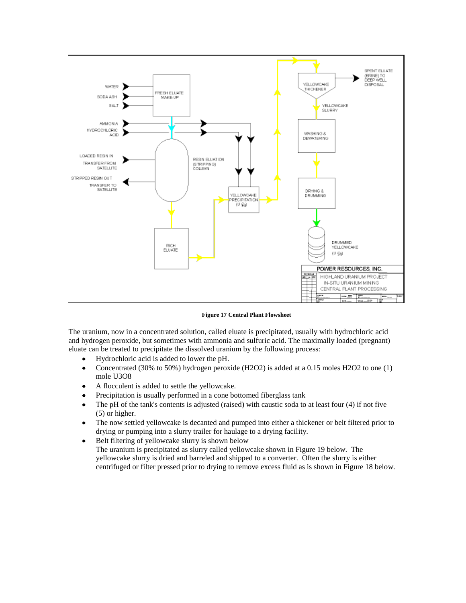

**Figure 17 Central Plant Flowsheet** 

The uranium, now in a concentrated solution, called eluate is precipitated, usually with hydrochloric acid and hydrogen peroxide, but sometimes with ammonia and sulfuric acid. The maximally loaded (pregnant) eluate can be treated to precipitate the dissolved uranium by the following process:

- $\bullet$ Hydrochloric acid is added to lower the pH.
- Concentrated (30% to 50%) hydrogen peroxide (H2O2) is added at a 0.15 moles H2O2 to one (1)  $\bullet$ mole U3O8
- A flocculent is added to settle the yellowcake.  $\bullet$
- Precipitation is usually performed in a cone bottomed fiberglass tank  $\bullet$
- The pH of the tank's contents is adjusted (raised) with caustic soda to at least four (4) if not five  $\bullet$ (5) or higher.
- The now settled yellowcake is decanted and pumped into either a thickener or belt filtered prior to  $\bullet$ drying or pumping into a slurry trailer for haulage to a drying facility.
- Belt filtering of yellowcake slurry is shown below  $\bullet$ The uranium is precipitated as slurry called yellowcake shown in Figure 19 below. The yellowcake slurry is dried and barreled and shipped to a converter. Often the slurry is either centrifuged or filter pressed prior to drying to remove excess fluid as is shown in Figure 18 below.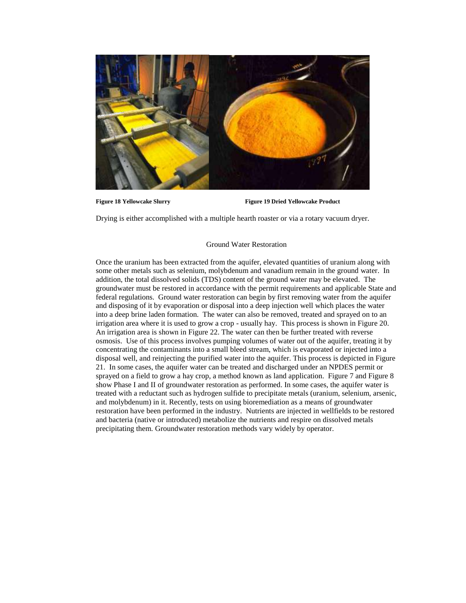

**Figure 18 Yellowcake Slurry Figure 19 Dried Yellowcake Product** 

Drying is either accomplished with a multiple hearth roaster or via a rotary vacuum dryer.

### Ground Water Restoration

Once the uranium has been extracted from the aquifer, elevated quantities of uranium along with some other metals such as selenium, molybdenum and vanadium remain in the ground water. In addition, the total dissolved solids (TDS) content of the ground water may be elevated. The groundwater must be restored in accordance with the permit requirements and applicable State and federal regulations. Ground water restoration can begin by first removing water from the aquifer and disposing of it by evaporation or disposal into a deep injection well which places the water into a deep brine laden formation. The water can also be removed, treated and sprayed on to an irrigation area where it is used to grow a crop - usually hay. This process is shown in Figure 20. An irrigation area is shown in Figure 22. The water can then be further treated with reverse osmosis. Use of this process involves pumping volumes of water out of the aquifer, treating it by concentrating the contaminants into a small bleed stream, which is evaporated or injected into a disposal well, and reinjecting the purified water into the aquifer. This process is depicted in Figure 21. In some cases, the aquifer water can be treated and discharged under an NPDES permit or sprayed on a field to grow a hay crop, a method known as land application. Figure 7 and Figure 8 show Phase I and II of groundwater restoration as performed. In some cases, the aquifer water is treated with a reductant such as hydrogen sulfide to precipitate metals (uranium, selenium, arsenic, and molybdenum) in it. Recently, tests on using bioremediation as a means of groundwater restoration have been performed in the industry. Nutrients are injected in wellfields to be restored and bacteria (native or introduced) metabolize the nutrients and respire on dissolved metals precipitating them. Groundwater restoration methods vary widely by operator.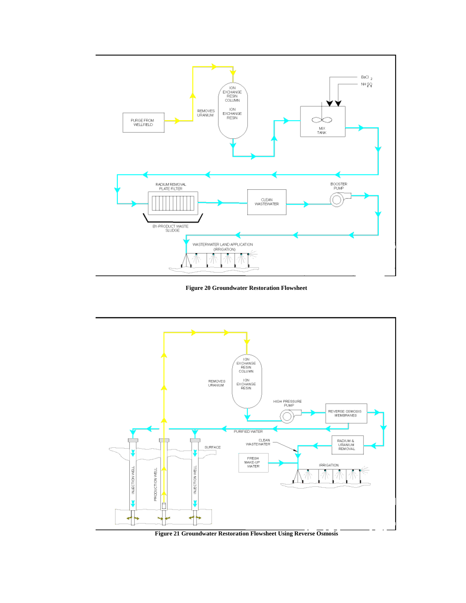

**Figure 20 Groundwater Restoration Flowsheet** 



**Figure 21 Groundwater Restoration Flowsheet Using Reverse Osmosis**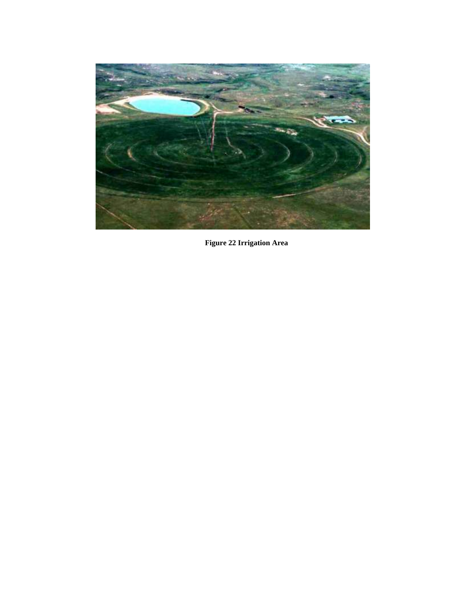

**Figure 22 Irrigation Area**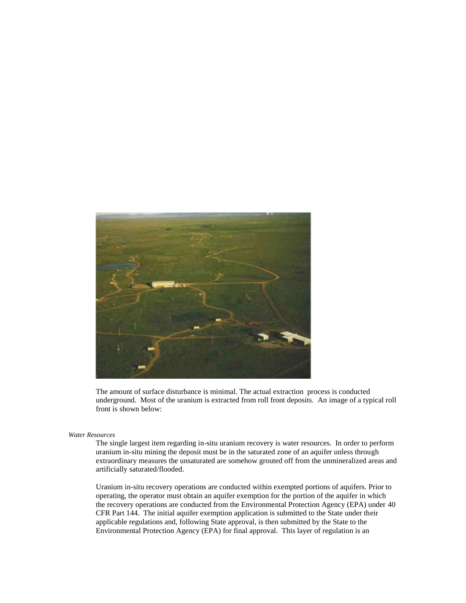

The amount of surface disturbance is minimal. The actual extraction process is conducted underground. Most of the uranium is extracted from roll front deposits. An image of a typical roll front is shown below:

### *Water Resources*

The single largest item regarding in-situ uranium recovery is water resources. In order to perform uranium in-situ mining the deposit must be in the saturated zone of an aquifer unless through extraordinary measures the unsaturated are somehow grouted off from the unmineralized areas and artificially saturated/flooded.

Uranium in-situ recovery operations are conducted within exempted portions of aquifers. Prior to operating, the operator must obtain an aquifer exemption for the portion of the aquifer in which the recovery operations are conducted from the Environmental Protection Agency (EPA) under 40 CFR Part 144. The initial aquifer exemption application is submitted to the State under their applicable regulations and, following State approval, is then submitted by the State to the Environmental Protection Agency (EPA) for final approval. This layer of regulation is an